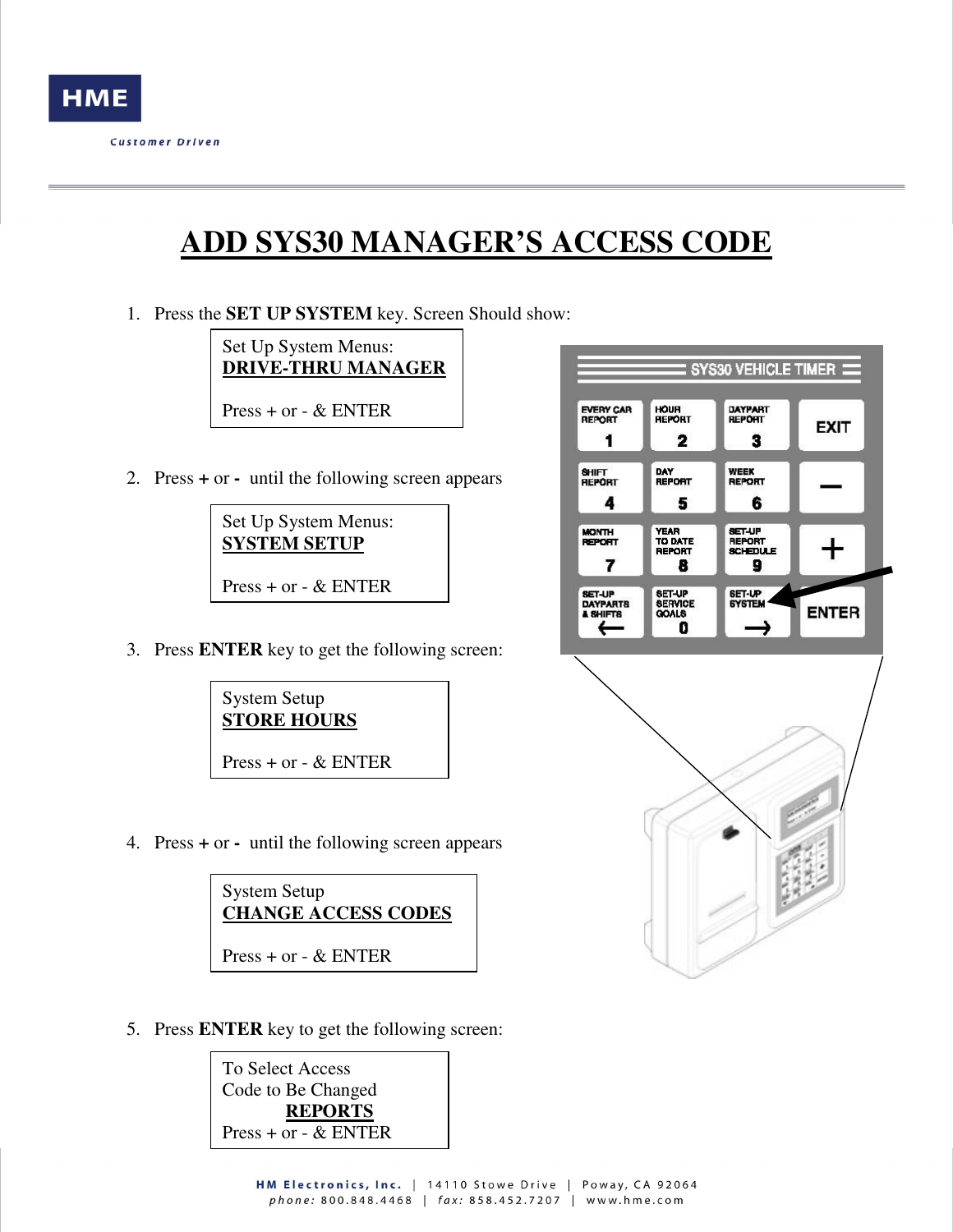

## **ADD SYS30 MANAGER'S ACCESS CODE**

1. Press the **SET UP SYSTEM** key. Screen Should show:

Set Up System Menus: **DRIVE-THRU MANAGER**

Press + or - & ENTER

2. Press **+** or **-** until the following screen appears

Set Up System Menus: **SYSTEM SETUP** Press + or - & ENTER

3. Press **ENTER** key to get the following screen:



4. Press **+** or **-** until the following screen appears



5. Press **ENTER** key to get the following screen: